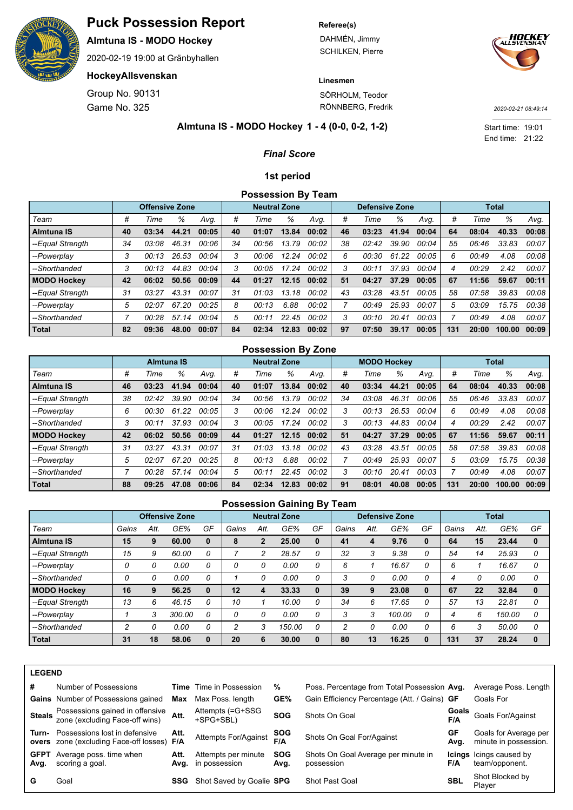

**Almtuna IS - MODO Hockey**

2020-02-19 19:00 at Gränbyhallen

### **HockeyAllsvenskan**

Game No. 325 Group No. 90131

#### **Referee(s)**

DAHMÉN, Jimmy SCHILKEN, Pierre



**Linesmen** SÖRHOLM, Teodor

RÖNNBERG, Fredrik

*2020-02-21 08:49:14*

End time: 21:22 Start time: 19:01

#### **1 - 4 (0-0, 0-2, 1-2) Almtuna IS - MODO Hockey**

### *Final Score*

#### **1st period**

## **Possession By Team**

|                    |    | <b>Offensive Zone</b> |           |       |    | <b>Neutral Zone</b> |       |       |    | <b>Defensive Zone</b> |       |       |     |       | Total  |       |
|--------------------|----|-----------------------|-----------|-------|----|---------------------|-------|-------|----|-----------------------|-------|-------|-----|-------|--------|-------|
| Team               | #  | Time                  | %         | Avq.  | #  | Time                | %     | Avq.  | #  | Time                  | %     | Avq.  | #   | Time  | %      | Avg.  |
| <b>Almtuna IS</b>  | 40 | 03:34                 | .21<br>44 | 00:05 | 40 | 01:07               | 13.84 | 00:02 | 46 | 03:23                 | 41.94 | 00:04 | 64  | 08:04 | 40.33  | 00:08 |
| --Equal Strength   | 34 | 03:08                 | 46.31     | 00:06 | 34 | 00:56               | 13.79 | 00:02 | 38 | 02:42                 | 39.90 | 00:04 | 55  | 06:46 | 33.83  | 00:07 |
| --Powerplay        | 3  | 00:13                 | 26.53     | 00:04 | 3  | 00:06               | 12.24 | 00:02 | 6  | 00:30                 | 61.22 | 00:05 | 6   | 00:49 | 4.08   | 00:08 |
| --Shorthanded      | 3  | 00:13                 | 44.83     | 00:04 | 3  | 00:05               | 17.24 | 00:02 | 3  | 00:11                 | 37.93 | 00:04 | 4   | 00:29 | 2.42   | 00:07 |
| <b>MODO Hockey</b> | 42 | 06:02                 | 50.56     | 00:09 | 44 | 01:27               | 12.15 | 00:02 | 51 | 04:27                 | 37.29 | 00:05 | 67  | 11:56 | 59.67  | 00:11 |
| --Equal Strength   | 31 | 03:27                 | 43.31     | 00:07 | 31 | 01:03               | 13.18 | 00:02 | 43 | 03:28                 | 43.51 | 00:05 | 58  | 07:58 | 39.83  | 00:08 |
| --Powerplay        | 5  | 02:07                 | 67.20     | 00:25 | 8  | 00:13               | 6.88  | 00:02 |    | 00:49                 | 25.93 | 00:07 | 5   | 03:09 | 15.75  | 00:38 |
| --Shorthanded      |    | 00:28                 | 57.14     | 00:04 | 5  | 00:11               | 22.45 | 00:02 | 3  | 00:10                 | 20.41 | 00:03 |     | 00:49 | 4.08   | 00:07 |
| <b>Total</b>       | 82 | 09:36                 | 48.00     | 00:07 | 84 | 02:34               | 12.83 | 00:02 | 97 | 07:50                 | 39.17 | 00:05 | 131 | 20:00 | 100.00 | 00:09 |

#### **Possession By Zone**

|                    |    |       | <b>Almtuna IS</b> |       |    | <b>Neutral Zone</b> |       |       |    | <b>MODO Hockey</b> |       |       |     |       | <b>Total</b> |       |
|--------------------|----|-------|-------------------|-------|----|---------------------|-------|-------|----|--------------------|-------|-------|-----|-------|--------------|-------|
| Team               | #  | Time  | %                 | Avq.  | #  | Time                | %     | Avq.  | #  | Time               | %     | Avq.  | #   | Time  | %            | Avg.  |
| <b>Almtuna IS</b>  | 46 | 03:23 | 41.94             | 00:04 | 40 | 01:07               | 13.84 | 00:02 | 40 | 03:34              | 44.21 | 00:05 | 64  | 08:04 | 40.33        | 00:08 |
| --Equal Strength   | 38 | 02:42 | 39.90             | 00:04 | 34 | 00:56               | 13.79 | 00:02 | 34 | 03:08              | 46.31 | 00:06 | 55  | 06:46 | 33.83        | 00:07 |
| --Powerplay        | 6  | 00:30 | 61.22             | 00:05 | 3  | 00:06               | 12.24 | 00:02 | 3  | 00:13              | 26.53 | 00:04 | 6   | 00:49 | 4.08         | 00:08 |
| --Shorthanded      | 3  | 00:11 | 37.93             | 00:04 | 3  | 00:05               | 17.24 | 00:02 | 3  | 00:13              | 44.83 | 00:04 | 4   | 00:29 | 2.42         | 00:07 |
| <b>MODO Hockey</b> | 42 | 06:02 | 50.56             | 00:09 | 44 | 01:27               | 12.15 | 00:02 | 51 | 04:27              | 37.29 | 00:05 | 67  | 11:56 | 59.67        | 00:11 |
| --Equal Strength   | 31 | 03:27 | 43.31             | 00:07 | 31 | 01:03               | 13.18 | 00:02 | 43 | 03:28              | 43.51 | 00:05 | 58  | 07:58 | 39.83        | 00:08 |
| --Powerplay        | 5  | 02:07 | 67.20             | 00:25 | 8  | 00:13               | 6.88  | 00:02 |    | 00:49              | 25.93 | 00:07 | 5   | 03:09 | 15.75        | 00:38 |
| --Shorthanded      |    | 00:28 | 57.14             | 00:04 | 5  | 00:11               | 22.45 | 00:02 | 3  | 00:10              | 20.41 | 00:03 |     | 00:49 | 4.08         | 00:07 |
| Total              | 88 | 09:25 | 47.08             | 00:06 | 84 | 02:34               | 12.83 | 00:02 | 91 | 08:01              | 40.08 | 00:05 | 131 | 20:00 | 100.00       | 00:09 |

#### **Possession Gaining By Team**

|                    |       |      | <b>Offensive Zone</b> |          |       |                | <b>Neutral Zone</b> |    |                |      | <b>Defensive Zone</b> |    |       |      | <b>Total</b> |              |
|--------------------|-------|------|-----------------------|----------|-------|----------------|---------------------|----|----------------|------|-----------------------|----|-------|------|--------------|--------------|
| Team               | Gains | Att. | GE%                   | GF       | Gains | Att.           | GE%                 | GF | Gains          | Att. | GE%                   | GF | Gains | Att. | GE%          | GF           |
| <b>Almtuna IS</b>  | 15    | 9    | 60.00                 | $\bf{0}$ | 8     | $\overline{2}$ | 25.00               | 0  | 41             | 4    | 9.76                  |    | 64    | 15   | 23.44        | $\bf{0}$     |
| --Equal Strength   | 15    | 9    | 60.00                 | 0        |       | 2              | 28.57               | 0  | 32             | 3    | 9.38                  | Ω  | 54    | 14   | 25.93        |              |
| --Powerplay        | 0     | 0    | 0.00                  | 0        |       | 0              | 0.00                | 0  | 6              |      | 16.67                 | 0  |       |      | 16.67        |              |
| --Shorthanded      | 0     | 0    | 0.00                  | 0        |       | 0              | 0.00                | 0  | 3              |      | 0.00                  | 0  | 4     | 0    | 0.00         | 0            |
| <b>MODO Hockey</b> | 16    | 9    | 56.25                 | $\bf{0}$ | 12    | 4              | 33.33               | 0  | 39             | 9    | 23.08                 |    | 67    | 22   | 32.84        | $\mathbf{0}$ |
| --Equal Strength   | 13    | 6    | 46.15                 | 0        | 10    |                | 10.00               | 0  | 34             | 6    | 17.65                 | 0  | 57    | 13   | 22.81        | 0            |
| --Powerplay        |       | 3    | 300.00                | 0        |       | 0              | 0.00                | 0  | 3              | з    | 100.00                | 0  |       | 6    | 150.00       |              |
| --Shorthanded      | 2     | 0    | 0.00                  | 0        | າ     | 3              | 150.00              | 0  | $\mathfrak{p}$ |      | 0.00                  | 0  | 6     | 3    | 50.00        |              |
| <b>Total</b>       | 31    | 18   | 58.06                 | $\bf{0}$ | 20    | 6              | 30.00               | 0  | 80             | 13   | 16.25                 |    | 131   | 37   | 28.24        | $\bf{0}$     |

| ₩<br>. . |
|----------|
|----------|

| #    | Number of Possessions                                                                |      | <b>Time</b> Time in Possession            | %                  | Poss. Percentage from Total Possession Avg.       |            | Average Poss. Length                             |
|------|--------------------------------------------------------------------------------------|------|-------------------------------------------|--------------------|---------------------------------------------------|------------|--------------------------------------------------|
|      | <b>Gains</b> Number of Possessions gained                                            | Max  | Max Poss. length                          | GE%                | Gain Efficiency Percentage (Att. / Gains) GF      |            | Goals For                                        |
|      | Steals Possessions gained in offensive Att.<br>Steals zone (excluding Face-off wins) |      | Attempts (=G+SSG<br>+SPG+SBL)             | <b>SOG</b>         | Shots On Goal                                     | F/A        | <b>Goals</b> Goals For/Against                   |
|      | Turn- Possessions lost in defensive<br>overs zone (excluding Face-off losses) F/A    | Att. | Attempts For/Against                      | <b>SOG</b><br>F/A  | Shots On Goal For/Against                         | GF<br>Avg. | Goals for Average per<br>minute in possession.   |
| Avg. | <b>GFPT</b> Average poss. time when<br>scoring a goal.                               | Att. | Attempts per minute<br>Avg. in possession | <b>SOG</b><br>Avg. | Shots On Goal Average per minute in<br>possession | F/A        | <b>Icings</b> Icings caused by<br>team/opponent. |
| G    | Goal                                                                                 | SSG  | Shot Saved by Goalie SPG                  |                    | Shot Past Goal                                    | <b>SBL</b> | Shot Blocked by<br>Plaver                        |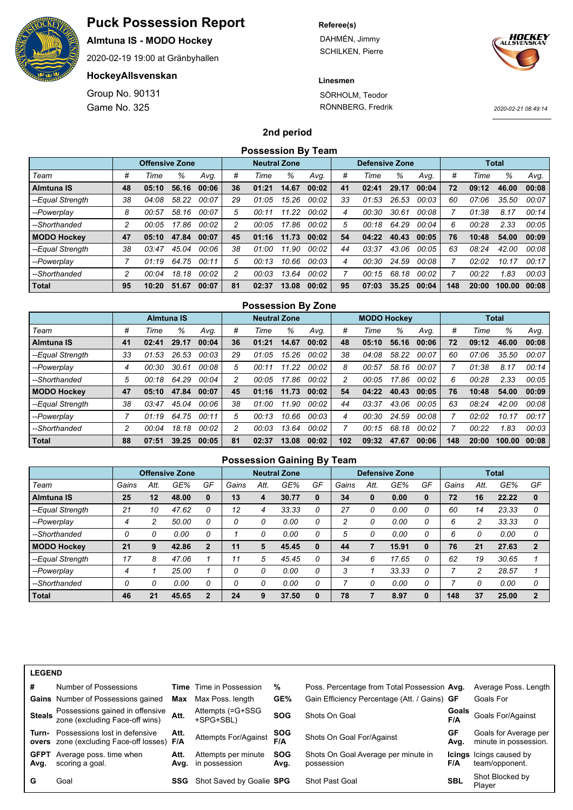

**Almtuna IS - MODO Hockey**

2020-02-19 19:00 at Gränbyhallen

### **HockeyAllsvenskan**

Game No. 325 Group No. 90131

#### **Referee(s)**

DAHMÉN, Jimmy SCHILKEN, Pierre



#### **Linesmen**

SÖRHOLM, Teodor RÖNNBERG, Fredrik

*2020-02-21 08:49:14*

#### **2nd period**

|                    |    |                       |       |       |    | <b>Possession By Team</b> |       |       |    |                       |       |       |     |       |              |       |
|--------------------|----|-----------------------|-------|-------|----|---------------------------|-------|-------|----|-----------------------|-------|-------|-----|-------|--------------|-------|
|                    |    | <b>Offensive Zone</b> |       |       |    | <b>Neutral Zone</b>       |       |       |    | <b>Defensive Zone</b> |       |       |     |       | <b>Total</b> |       |
| Team               | #  | Time                  | ℅     | Avq.  | #  | Time                      | %     | Avg.  | #  | Time                  | ℅     | Avq.  | #   | Time  | %            | Avq.  |
| <b>Almtuna IS</b>  | 48 | 05:10                 | 56.16 | 00:06 | 36 | 01:21                     | 14.67 | 00:02 | 41 | 02:41                 | 29.17 | 00:04 | 72  | 09:12 | 46.00        | 00:08 |
| --Equal Strength   | 38 | 04:08                 | 58.22 | 00:07 | 29 | 01:05                     | 15.26 | 00:02 | 33 | 01:53                 | 26.53 | 00:03 | 60  | 07:06 | 35.50        | 00:07 |
| --Powerplay        | 8  | 00:57                 | 58.16 | 00:07 | 5  | 00:11                     | 11.22 | 00:02 | 4  | 00:30                 | 30.61 | 00:08 |     | 01:38 | 8.17         | 00:14 |
| --Shorthanded      | 2  | 00:05                 | 17.86 | 00:02 | 2  | 00:05                     | 17.86 | 00:02 | 5  | 00:18                 | 64.29 | 00:04 | 6   | 00:28 | 2.33         | 00:05 |
| <b>MODO Hockey</b> | 47 | 05:10                 | 47.84 | 00:07 | 45 | 01:16                     | 11.73 | 00:02 | 54 | 04:22                 | 40.43 | 00:05 | 76  | 10:48 | 54.00        | 00:09 |
| --Equal Strength   | 38 | 03:47                 | 45.04 | 00:06 | 38 | 01:00                     | 11.90 | 00:02 | 44 | 03:37                 | 43.06 | 00:05 | 63  | 08:24 | 42.00        | 00:08 |
| --Powerplay        |    | 01:19                 | 64.75 | 00:11 | 5  | 00:13                     | 10.66 | 00:03 | 4  | 00:30                 | 24.59 | 00:08 |     | 02:02 | 10.17        | 00:17 |
| --Shorthanded      | 2  | 00:04                 | 18.18 | 00:02 | 2  | 00:03                     | 13.64 | 00:02 |    | 00:15                 | 68.18 | 00:02 |     | 00:22 | 1.83         | 00:03 |
| <b>Total</b>       | 95 | 10:20                 | 51.67 | 00:07 | 81 | 02:37                     | 13.08 | 00:02 | 95 | 07:03                 | 35.25 | 00:04 | 148 | 20:00 | 100.00       | 00:08 |

|                    |    |                   |       |       |    | <b>Possession By Zone</b> |       |       |     |                    |       |       |     |       |              |       |
|--------------------|----|-------------------|-------|-------|----|---------------------------|-------|-------|-----|--------------------|-------|-------|-----|-------|--------------|-------|
|                    |    | <b>Almtuna IS</b> |       |       |    | <b>Neutral Zone</b>       |       |       |     | <b>MODO Hockey</b> |       |       |     |       | <b>Total</b> |       |
| Team               | #  | Time              | %     | Avg.  | #  | Time                      | %     | Avg.  | #   | Time               | %     | Avq.  | #   | Time  | ℅            | Avg.  |
| Almtuna IS         | 41 | 02:41             | 29.17 | 00:04 | 36 | 01:21                     | 14.67 | 00:02 | 48  | 05:10              | 56.16 | 00:06 | 72  | 09:12 | 46.00        | 00:08 |
| --Equal Strength   | 33 | 01:53             | 26.53 | 00:03 | 29 | 01:05                     | 15.26 | 00:02 | 38  | 04:08              | 58.22 | 00:07 | 60  | 07:06 | 35.50        | 00:07 |
| --Powerplay        | 4  | 00:30             | 30.61 | 00:08 | 5  | 00:11                     | 11.22 | 00:02 | 8   | 00:57              | 58.16 | 00:07 |     | 01:38 | 8.17         | 00:14 |
| --Shorthanded      | 5  | 00:18             | 64.29 | 00:04 | 2  | 00:05                     | 17.86 | 00:02 | 2   | 00:05              | 17.86 | 00:02 | 6   | 00:28 | 2.33         | 00:05 |
| <b>MODO Hockey</b> | 47 | 05:10             | 47.84 | 00:07 | 45 | 01:16                     | 11.73 | 00:02 | 54  | 04:22              | 40.43 | 00:05 | 76  | 10:48 | 54.00        | 00:09 |
| --Equal Strength   | 38 | 03:47             | 45.04 | 00:06 | 38 | 01:00                     | 11.90 | 00:02 | 44  | 03:37              | 43.06 | 00:05 | 63  | 08:24 | 42.00        | 00:08 |
| --Powerplay        |    | 01:19             | 64.75 | 00:11 | 5  | 00:13                     | 10.66 | 00:03 | 4   | 00:30              | 24.59 | 00:08 |     | 02:02 | 10.17        | 00:17 |
| --Shorthanded      | 2  | 00:04             | 18.18 | 00:02 | 2  | 00:03                     | 13.64 | 00:02 |     | 00:15              | 68.18 | 00:02 |     | 00:22 | 1.83         | 00:03 |
| Total              | 88 | 07:51             | 39.25 | 00:05 | 81 | 02:37                     | 13.08 | 00:02 | 102 | 09:32              | 47.67 | 00:06 | 148 | 20:00 | 100.00       | 00:08 |

|                    |       |      |                       |                |       |      | <b>Possession Gaining By Team</b> |          |       |              |                       |          |       |      |              |                |
|--------------------|-------|------|-----------------------|----------------|-------|------|-----------------------------------|----------|-------|--------------|-----------------------|----------|-------|------|--------------|----------------|
|                    |       |      | <b>Offensive Zone</b> |                |       |      | <b>Neutral Zone</b>               |          |       |              | <b>Defensive Zone</b> |          |       |      | <b>Total</b> |                |
| Team               | Gains | Att. | GE%                   | GF             | Gains | Att. | GE%                               | GF       | Gains | Att.         | GE%                   | GF       | Gains | Att. | GE%          | GF             |
| <b>Almtuna IS</b>  | 25    | 12   | 48.00                 | $\bf{0}$       | 13    | 4    | 30.77                             | 0        | 34    | $\mathbf{0}$ | 0.00                  | $\bf{0}$ | 72    | 16   | 22.22        | $\bf{0}$       |
| --Equal Strength   | 21    | 10   | 47.62                 | 0              | 12    | 4    | 33.33                             | 0        | 27    | 0            | 0.00                  | 0        | 60    | 14   | 23.33        | 0              |
| --Powerplay        | 4     | 2    | 50.00                 | 0              |       | 0    | 0.00                              | 0        | 2     | 0            | 0.00                  | 0        | 6     | 2    | 33.33        | 0              |
| --Shorthanded      | 0     | 0    | 0.00                  | 0              |       | 0    | 0.00                              | 0        | 5     | 0            | 0.00                  | 0        | 6     | 0    | 0.00         | 0              |
| <b>MODO Hockey</b> | 21    | 9    | 42.86                 | $\overline{2}$ | 11    | 5    | 45.45                             | $\bf{0}$ | 44    |              | 15.91                 | 0        | 76    | 21   | 27.63        | $\mathbf{2}$   |
| --Equal Strength   | 17    | 8    | 47.06                 |                | 11    | 5    | 45.45                             | 0        | 34    | 6            | 17.65                 | 0        | 62    | 19   | 30.65        |                |
| --Powerplay        | 4     |      | 25.00                 |                | 0     | 0    | 0.00                              | 0        | 3     |              | 33.33                 | 0        |       | 2    | 28.57        |                |
| --Shorthanded      | 0     | 0    | 0.00                  | 0              | 0     | 0    | 0.00                              | 0        |       | 0            | 0.00                  | 0        |       | 0    | 0.00         | 0              |
| <b>Total</b>       | 46    | 21   | 45.65                 | $\overline{2}$ | 24    | 9    | 37.50                             | $\bf{0}$ | 78    |              | 8.97                  | $\bf{0}$ | 148   | 37   | 25.00        | $\overline{2}$ |

| <b>LEGEND</b>       |                                                                             |      |                                           |                    |                                                   |              |                                                  |
|---------------------|-----------------------------------------------------------------------------|------|-------------------------------------------|--------------------|---------------------------------------------------|--------------|--------------------------------------------------|
| #                   | Number of Possessions                                                       |      | <b>Time</b> Time in Possession            | %                  | Poss. Percentage from Total Possession Avg.       |              | Average Poss. Length                             |
|                     | <b>Gains</b> Number of Possessions gained                                   | Max  | Max Poss. length                          | GE%                | Gain Efficiency Percentage (Att. / Gains) GF      |              | Goals For                                        |
|                     | Steals Possessions gained in offensive<br>zone (excluding Face-off wins)    | Att. | Attempts (=G+SSG<br>+SPG+SBL)             | <b>SOG</b>         | Shots On Goal                                     | Goals<br>F/A | Goals For/Against                                |
| Turn-               | Possessions lost in defensive<br>overs zone (excluding Face-off losses) F/A | Att. | Attempts For/Against                      | <b>SOG</b><br>F/A  | Shots On Goal For/Against                         | GF<br>Avg.   | Goals for Average per<br>minute in possession.   |
| <b>GFPT</b><br>Avg. | Average poss. time when<br>scoring a goal.                                  | Att. | Attempts per minute<br>Avg. in possession | <b>SOG</b><br>Avg. | Shots On Goal Average per minute in<br>possession | F/A          | <b>Icings</b> Icings caused by<br>team/opponent. |
| G                   | Goal                                                                        | SSG  | Shot Saved by Goalie SPG                  |                    | <b>Shot Past Goal</b>                             | <b>SBL</b>   | Shot Blocked by<br>Plaver                        |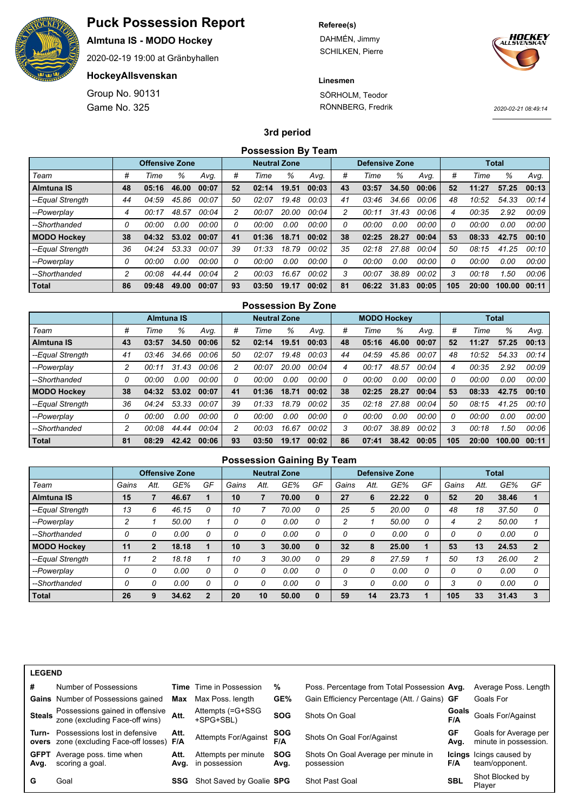

**Almtuna IS - MODO Hockey**

2020-02-19 19:00 at Gränbyhallen

### **HockeyAllsvenskan**

Game No. 325 Group No. 90131 **Referee(s)**

DAHMÉN, Jimmy SCHILKEN, Pierre



#### **Linesmen**

SÖRHOLM, Teodor RÖNNBERG, Fredrik

*2020-02-21 08:49:14*

#### **3rd period**

|                    |    |                       |       |       |    | <b>Possession By Team</b> |       |       |    |                       |       |       |     |       |              |       |
|--------------------|----|-----------------------|-------|-------|----|---------------------------|-------|-------|----|-----------------------|-------|-------|-----|-------|--------------|-------|
|                    |    | <b>Offensive Zone</b> |       |       |    | <b>Neutral Zone</b>       |       |       |    | <b>Defensive Zone</b> |       |       |     |       | <b>Total</b> |       |
| Team               | #  | Time                  | ℅     | Avq.  | #  | Time                      | %     | Avg.  | #  | Time                  | ℅     | Avq.  | #   | Time  | %            | Avq.  |
| <b>Almtuna IS</b>  | 48 | 05:16                 | 46.00 | 00:07 | 52 | 02:14                     | 19.51 | 00:03 | 43 | 03:57                 | 34.50 | 00:06 | 52  | 11:27 | 57.25        | 00:13 |
| --Equal Strength   | 44 | 04:59                 | 45.86 | 00:07 | 50 | 02:07                     | 19.48 | 00:03 | 41 | 03:46                 | 34.66 | 00:06 | 48  | 10:52 | 54.33        | 00:14 |
| --Powerplay        | 4  | 00:17                 | 48.57 | 00:04 | 2  | 00:07                     | 20.00 | 00:04 | 2  | 00:11                 | 31.43 | 00:06 | 4   | 00:35 | 2.92         | 00:09 |
| --Shorthanded      | 0  | 00:00                 | 0.00  | 00:00 | 0  | 00:00                     | 0.00  | 00:00 | 0  | 00:00                 | 0.00  | 00:00 | o   | 00:00 | 0.00         | 00:00 |
| <b>MODO Hockey</b> | 38 | 04:32                 | 53.02 | 00:07 | 41 | 01:36                     | 18.71 | 00:02 | 38 | 02:25                 | 28.27 | 00:04 | 53  | 08:33 | 42.75        | 00:10 |
| --Equal Strength   | 36 | 04:24                 | 53.33 | 00:07 | 39 | 01:33                     | 18.79 | 00:02 | 35 | 02:18                 | 27.88 | 00:04 | 50  | 08:15 | 41.25        | 00:10 |
| --Powerplay        | 0  | 00:00                 | 0.00  | 00:00 | 0  | 00:00                     | 0.00  | 00:00 | 0  | 00:00                 | 0.00  | 00:00 | Ω   | 00:00 | 0.00         | 00:00 |
| --Shorthanded      | 2  | 00:08                 | 44.44 | 00:04 | 2  | 00:03                     | 16.67 | 00:02 | 3  | 00:07                 | 38.89 | 00:02 | 3   | 00:18 | 1.50         | 00:06 |
| <b>Total</b>       | 86 | 09:48                 | 49.00 | 00:07 | 93 | 03:50                     | 19.17 | 00:02 | 81 | 06:22                 | 31.83 | 00:05 | 105 | 20:00 | 100.00       | 00:11 |

|                    |    |                   |       |       |    | <b>Possession By Zone</b> |       |       |    |                    |       |       |     |       |              |       |
|--------------------|----|-------------------|-------|-------|----|---------------------------|-------|-------|----|--------------------|-------|-------|-----|-------|--------------|-------|
|                    |    | <b>Almtuna IS</b> |       |       |    | <b>Neutral Zone</b>       |       |       |    | <b>MODO Hockey</b> |       |       |     |       | <b>Total</b> |       |
| Team               | #  | Time              | %     | Avg.  | #  | Time                      | %     | Avg.  | #  | Time               | %     | Avq.  | #   | Time  | %            | Avg.  |
| Almtuna IS         | 43 | 03:57             | 34.50 | 00:06 | 52 | 02:14                     | 19.51 | 00:03 | 48 | 05:16              | 46.00 | 00:07 | 52  | 11:27 | 57.25        | 00:13 |
| --Equal Strength   | 41 | 03:46             | 34.66 | 00:06 | 50 | 02:07                     | 19.48 | 00:03 | 44 | 04:59              | 45.86 | 00:07 | 48  | 10:52 | 54.33        | 00:14 |
| --Powerplay        | 2  | 00:11             | 31.43 | 00:06 | 2  | 00:07                     | 20.00 | 00:04 | 4  | 00:17              | 48.57 | 00:04 | 4   | 00:35 | 2.92         | 00:09 |
| --Shorthanded      | 0  | 00:00             | 0.00  | 00:00 | 0  | 00:00                     | 0.00  | 00:00 | 0  | 00:00              | 0.00  | 00:00 | Ω   | 00:00 | 0.00         | 00:00 |
| <b>MODO Hockey</b> | 38 | 04:32             | 53.02 | 00:07 | 41 | 01:36                     | 18.71 | 00:02 | 38 | 02:25              | 28.27 | 00:04 | 53  | 08:33 | 42.75        | 00:10 |
| --Equal Strength   | 36 | 04:24             | 53.33 | 00:07 | 39 | 01:33                     | 18.79 | 00:02 | 35 | 02:18              | 27.88 | 00:04 | 50  | 08:15 | 41.25        | 00:10 |
| --Powerplay        | 0  | 00:00             | 0.00  | 00:00 | 0  | 00:00                     | 0.00  | 00:00 | 0  | 00:00              | 0.00  | 00:00 | 0   | 00:00 | 0.00         | 00:00 |
| --Shorthanded      | 2  | 00:08             | 44.44 | 00:04 | 2  | 00:03                     | 16.67 | 00:02 | 3  | 00:07              | 38.89 | 00:02 | 3   | 00:18 | 1.50         | 00:06 |
| Total              | 81 | 08:29             | 42.42 | 00:06 | 93 | 03:50                     | 19.17 | 00:02 | 86 | 07:41              | 38.42 | 00:05 | 105 | 20:00 | 100.00       | 00:11 |

|                    |       |      |                       |                |       |          | <b>Possession Gaining By Team</b> |          |       |          |                       |          |       |      |              |                |
|--------------------|-------|------|-----------------------|----------------|-------|----------|-----------------------------------|----------|-------|----------|-----------------------|----------|-------|------|--------------|----------------|
|                    |       |      | <b>Offensive Zone</b> |                |       |          | <b>Neutral Zone</b>               |          |       |          | <b>Defensive Zone</b> |          |       |      | <b>Total</b> |                |
| Team               | Gains | Att. | GE%                   | GF             | Gains | Att.     | GE%                               | GF       | Gains | Att.     | GE%                   | GF       | Gains | Att. | GE%          | GF             |
| <b>Almtuna IS</b>  | 15    | 7    | 46.67                 |                | 10    |          | 70.00                             | $\bf{0}$ | 27    | 6        | 22.22                 | 0        | 52    | 20   | 38.46        |                |
| --Equal Strength   | 13    | 6    | 46.15                 | 0              | 10    |          | 70.00                             | 0        | 25    | 5        | 20.00                 | 0        | 48    | 18   | 37.50        | 0              |
| --Powerplay        | 2     |      | 50.00                 |                | 0     | 0        | 0.00                              | 0        | 2     |          | 50.00                 | 0        | 4     | 2    | 50.00        |                |
| --Shorthanded      | 0     | 0    | 0.00                  | 0              | 0     | 0        | 0.00                              | 0        | 0     |          | 0.00                  | 0        |       | 0    | 0.00         | 0              |
| <b>MODO Hockey</b> | 11    | 2    | 18.18                 |                | 10    | 3        | 30.00                             | 0        | 32    | 8        | 25.00                 |          | 53    | 13   | 24.53        | $\mathbf{2}$   |
| --Equal Strength   | 11    | 2    | 18.18                 |                | 10    | 3        | 30.00                             | 0        | 29    | 8        | 27.59                 |          | 50    | 13   | 26.00        | $\overline{c}$ |
| --Powerplay        | 0     | 0    | 0.00                  | 0              | 0     | 0        | 0.00                              | 0        | 0     | $\Omega$ | 0.00                  | 0        |       | 0    | 0.00         | 0              |
| --Shorthanded      | 0     | 0    | 0.00                  | 0              | 0     | $\Omega$ | 0.00                              | 0        | 3     | $\Omega$ | 0.00                  | $\Omega$ | 3     | 0    | 0.00         | 0              |
| <b>Total</b>       | 26    | 9    | 34.62                 | $\overline{2}$ | 20    | 10       | 50.00                             |          | 59    | 14       | 23.73                 |          | 105   | 33   | 31.43        | 3              |

| <b>LEGEND</b>       |                                                                             |      |                                           |                    |                                                   |              |                                                  |
|---------------------|-----------------------------------------------------------------------------|------|-------------------------------------------|--------------------|---------------------------------------------------|--------------|--------------------------------------------------|
| #                   | Number of Possessions                                                       |      | <b>Time</b> Time in Possession            | %                  | Poss. Percentage from Total Possession Avg.       |              | Average Poss. Length                             |
|                     | <b>Gains</b> Number of Possessions gained                                   | Max  | Max Poss, length                          | GE%                | Gain Efficiency Percentage (Att. / Gains) GF      |              | Goals For                                        |
| <b>Steals</b>       | Possessions gained in offensive<br>zone (excluding Face-off wins)           | Att. | Attempts (=G+SSG<br>+SPG+SBL)             | <b>SOG</b>         | Shots On Goal                                     | Goals<br>F/A | Goals For/Against                                |
| Turn-               | Possessions lost in defensive<br>overs zone (excluding Face-off losses) F/A | Att. | Attempts For/Against                      | <b>SOG</b><br>F/A  | Shots On Goal For/Against                         | GF<br>Avg.   | Goals for Average per<br>minute in possession.   |
| <b>GFPT</b><br>Avg. | Average poss. time when<br>scoring a goal.                                  | Att. | Attempts per minute<br>Avg. in possession | <b>SOG</b><br>Avg. | Shots On Goal Average per minute in<br>possession | F/A          | <b>Icings</b> Icings caused by<br>team/opponent. |
| G                   | Goal                                                                        | SSG  | Shot Saved by Goalie SPG                  |                    | Shot Past Goal                                    | <b>SBL</b>   | Shot Blocked by<br>Plaver                        |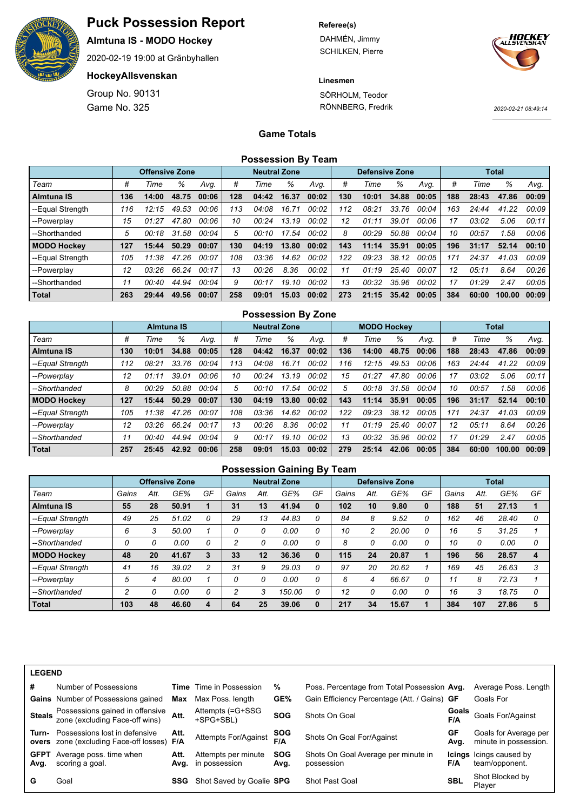

**Almtuna IS - MODO Hockey**

2020-02-19 19:00 at Gränbyhallen

### **HockeyAllsvenskan**

Game No. 325 Group No. 90131

#### **Referee(s)**

DAHMÉN, Jimmy SCHILKEN, Pierre



**Linesmen**

SÖRHOLM, Teodor RÖNNBERG, Fredrik

*2020-02-21 08:49:14*

## **Game Totals**

| <b>Possession By Team</b> |
|---------------------------|
|---------------------------|

|                    |     | <b>Offensive Zone</b> |       |       | <b>Neutral Zone</b> |       |       |       | <b>Defensive Zone</b> |       |       |       | <b>Total</b> |       |        |       |
|--------------------|-----|-----------------------|-------|-------|---------------------|-------|-------|-------|-----------------------|-------|-------|-------|--------------|-------|--------|-------|
| Team               | #   | Time                  | %     | Avq.  | #                   | Time  | %     | Avq.  | #                     | Time  | %     | Avq.  | #            | Time  | %      | Avq.  |
| <b>Almtuna IS</b>  | 136 | 14:00                 | 48.75 | 00:06 | 128                 | 04:42 | 16.37 | 00:02 | 130                   | 10:01 | 34.88 | 00:05 | 188          | 28:43 | 47.86  | 00:09 |
| --Equal Strength   | 116 | 12:15                 | 49.53 | 00:06 | 113                 | 04:08 | 16.71 | 00:02 | 112                   | 08:21 | 33.76 | 00:04 | 163          | 24:44 | 41.22  | 00:09 |
| --Powerplay        | 15  | 01:27                 | 47.80 | 00:06 | 10                  | 00:24 | 13.19 | 00:02 | 12                    | 01:11 | 39.01 | 00:06 | 17           | 03:02 | 5.06   | 00:11 |
| --Shorthanded      | 5   | 00:18                 | 31.58 | 00:04 | 5                   | 00:10 | 17.54 | 00:02 | 8                     | 00:29 | 50.88 | 00:04 | 10           | 00:57 | 1.58   | 00:06 |
| <b>MODO Hockey</b> | 127 | 15:44                 | 50.29 | 00:07 | 130                 | 04:19 | 13.80 | 00:02 | 143                   | 11:14 | 35.91 | 00:05 | 196          | 31:17 | 52.14  | 00:10 |
| --Equal Strength   | 105 | 11:38                 | 47.26 | 00:07 | 108                 | 03:36 | 14.62 | 00:02 | 122                   | 09:23 | 38.12 | 00:05 | 171          | 24:37 | 41.03  | 00:09 |
| --Powerplay        | 12  | 03:26                 | 66.24 | 00:17 | 13                  | 00:26 | 8.36  | 00:02 | 11                    | 01:19 | 25.40 | 00:07 | 12           | 05:11 | 8.64   | 00:26 |
| --Shorthanded      | 11  | 00:40                 | 44.94 | 00:04 | 9                   | 00:17 | 19.10 | 00:02 | 13                    | 00:32 | 35.96 | 00:02 | 17           | 01:29 | 2.47   | 00:05 |
| Total              | 263 | 29:44                 | 49.56 | 00:07 | 258                 | 09:01 | 15.03 | 00:02 | 273                   | 21:15 | 35.42 | 00:05 | 384          | 60:00 | 100.00 | 00:09 |

|                    | <b>Possession By Zone</b> |                   |       |       |     |                     |       |       |     |                    |       |       |     |       |              |       |
|--------------------|---------------------------|-------------------|-------|-------|-----|---------------------|-------|-------|-----|--------------------|-------|-------|-----|-------|--------------|-------|
|                    |                           | <b>Almtuna IS</b> |       |       |     | <b>Neutral Zone</b> |       |       |     | <b>MODO Hockey</b> |       |       |     |       | <b>Total</b> |       |
| Team               | #                         | Time              | %     | Avq.  | #   | Time                | %     | Avg.  | #   | Time               | %     | Avq.  | #   | Time  | %            | Avg.  |
| <b>Almtuna IS</b>  | 130                       | 10:01             | 34.88 | 00:05 | 128 | 04:42               | 16.37 | 00:02 | 136 | 14:00              | 48.75 | 00:06 | 188 | 28:43 | 47.86        | 00:09 |
| --Equal Strength   | 112                       | 08:21             | 33.76 | 00:04 | 113 | 04:08               | 16.71 | 00:02 | 116 | 12:15              | 49.53 | 00:06 | 163 | 24:44 | 41.22        | 00:09 |
| --Powerplay        | 12                        | 01:11             | 39.01 | 00:06 | 10  | 00:24               | 13.19 | 00:02 | 15  | 01:27              | 47.80 | 00:06 | 17  | 03:02 | 5.06         | 00:11 |
| --Shorthanded      | 8                         | 00:29             | 50.88 | 00:04 | 5   | 00:10               | 17.54 | 00:02 | 5   | 00:18              | 31.58 | 00:04 | 10  | 00:57 | 1.58         | 00:06 |
| <b>MODO Hockey</b> | 127                       | 15:44             | 50.29 | 00:07 | 130 | 04:19               | 13.80 | 00:02 | 143 | 11:14              | 35.91 | 00:05 | 196 | 31:17 | 52.14        | 00:10 |
| --Equal Strength   | 105                       | 11:38             | 47.26 | 00:07 | 108 | 03:36               | 14.62 | 00:02 | 122 | 09:23              | 38.12 | 00:05 | 171 | 24:37 | 41.03        | 00:09 |
| --Powerplay        | 12                        | 03:26             | 66.24 | 00:17 | 13  | 00:26               | 8.36  | 00:02 | 11  | 01:19              | 25.40 | 00:07 | 12  | 05:11 | 8.64         | 00:26 |
| --Shorthanded      | 11                        | 00:40             | 44.94 | 00:04 | 9   | 00:17               | 19.10 | 00:02 | 13  | 00:32              | 35.96 | 00:02 | 17  | 01:29 | 2.47         | 00:05 |
| <b>Total</b>       | 257                       | 25:45             | 42.92 | 00:06 | 258 | 09:01               | 15.03 | 00:02 | 279 | 25:14              | 42.06 | 00:05 | 384 | 60:00 | 100.00       | 00:09 |

#### **Possession Gaining By Team**

|                    |       |      | <b>Offensive Zone</b> |    |       |      | <b>Neutral Zone</b> |    |       |      | <b>Defensive Zone</b> |    |       |      | <b>Total</b> |    |
|--------------------|-------|------|-----------------------|----|-------|------|---------------------|----|-------|------|-----------------------|----|-------|------|--------------|----|
| Team               | Gains | Att. | GE%                   | GF | Gains | Att. | GE%                 | GF | Gains | Att. | GE%                   | GF | Gains | Att. | GE%          | GF |
| <b>Almtuna IS</b>  | 55    | 28   | 50.91                 |    | 31    | 13   | 41.94               | 0  | 102   | 10   | 9.80                  | 0  | 188   | 51   | 27.13        |    |
| --Equal Strength   | 49    | 25   | 51.02                 | 0  | 29    | 13   | 44.83               |    | 84    | 8    | 9.52                  | 0  | 162   | 46   | 28.40        | 0  |
| --Powerplay        | 6     | 3    | 50.00                 |    | 0     | 0    | 0.00                | 0  | 10    |      | 20.00                 |    | 16    | 5    | 31.25        |    |
| --Shorthanded      |       |      | 0.00                  | 0  | 2     | 0    | 0.00                | 0  | 8     |      | 0.00                  | 0  | 10    | 0    | 0.00         | 0  |
| <b>MODO Hockey</b> | 48    | 20   | 41.67                 | 3  | 33    | 12   | 36.36               | 0  | 115   | 24   | 20.87                 |    | 196   | 56   | 28.57        | 4  |
| --Equal Strength   | 41    | 16   | 39.02                 | 2  | 31    | 9    | 29.03               | 0  | 97    | 20   | 20.62                 |    | 169   | 45   | 26.63        |    |
| --Powerplay        | 5     | 4    | 80.00                 |    | 0     | 0    | 0.00                | 0  | 6     | 4    | 66.67                 | 0  | 11    | 8    | 72.73        |    |
| --Shorthanded      | ◠     | 0    | 0.00                  | 0  | 2     | 3    | 150.00              | 0  | 12    | 0    | 0.00                  | 0  | 16    | 3    | 18.75        | 0  |
| Total              | 103   | 48   | 46.60                 | 4  | 64    | 25   | 39.06               |    | 217   | 34   | 15.67                 |    | 384   | 107  | 27.86        |    |

#### **LEGEND**

| #                   | Number of Possessions                                                                    |      | <b>Time</b> Time in Possession            | ℅                  | Poss. Percentage from Total Possession Avg.       |              | Average Poss. Length                             |
|---------------------|------------------------------------------------------------------------------------------|------|-------------------------------------------|--------------------|---------------------------------------------------|--------------|--------------------------------------------------|
|                     | <b>Gains</b> Number of Possessions gained                                                | Max  | Max Poss, length                          | GE%                | Gain Efficiency Percentage (Att. / Gains) GF      |              | Goals For                                        |
|                     | <b>Steals</b> Possessions gained in offensive<br>zone (excluding Face-off wins)          | Att. | Attempts (=G+SSG<br>+SPG+SBL)             | <b>SOG</b>         | Shots On Goal                                     | Goals<br>F/A | Goals For/Against                                |
|                     | <b>Turn-</b> Possessions lost in defensive<br>overs zone (excluding Face-off losses) F/A | Att. | Attempts For/Against                      | <b>SOG</b><br>F/A  | Shots On Goal For/Against                         | GF<br>Avg.   | Goals for Average per<br>minute in possession.   |
| <b>GFPT</b><br>Avg. | Average poss. time when<br>scoring a goal.                                               | Att. | Attempts per minute<br>Avg. in possession | <b>SOG</b><br>Avg. | Shots On Goal Average per minute in<br>possession | F/A          | <b>Icings</b> Icings caused by<br>team/opponent. |
| G                   | Goal                                                                                     | SSG  | Shot Saved by Goalie SPG                  |                    | Shot Past Goal                                    | <b>SBL</b>   | Shot Blocked by<br>Plaver                        |